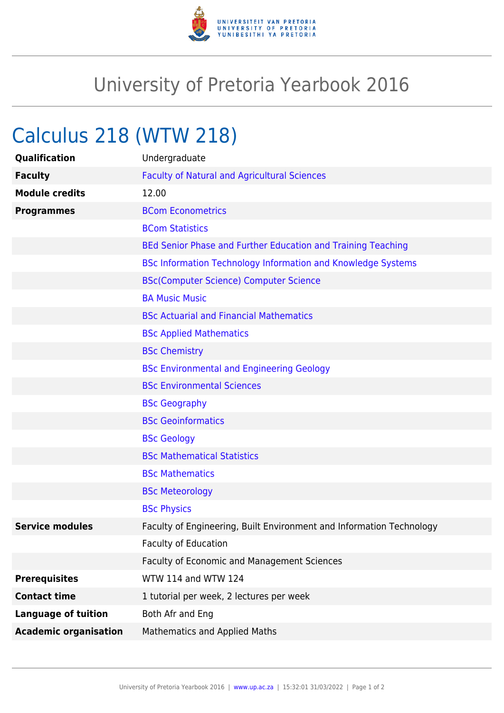

## University of Pretoria Yearbook 2016

## Calculus 218 (WTW 218)

| Qualification                | Undergraduate                                                        |
|------------------------------|----------------------------------------------------------------------|
| <b>Faculty</b>               | <b>Faculty of Natural and Agricultural Sciences</b>                  |
| <b>Module credits</b>        | 12.00                                                                |
| <b>Programmes</b>            | <b>BCom Econometrics</b>                                             |
|                              | <b>BCom Statistics</b>                                               |
|                              | BEd Senior Phase and Further Education and Training Teaching         |
|                              | <b>BSc Information Technology Information and Knowledge Systems</b>  |
|                              | <b>BSc(Computer Science) Computer Science</b>                        |
|                              | <b>BA Music Music</b>                                                |
|                              | <b>BSc Actuarial and Financial Mathematics</b>                       |
|                              | <b>BSc Applied Mathematics</b>                                       |
|                              | <b>BSc Chemistry</b>                                                 |
|                              | <b>BSc Environmental and Engineering Geology</b>                     |
|                              | <b>BSc Environmental Sciences</b>                                    |
|                              | <b>BSc Geography</b>                                                 |
|                              | <b>BSc Geoinformatics</b>                                            |
|                              | <b>BSc Geology</b>                                                   |
|                              | <b>BSc Mathematical Statistics</b>                                   |
|                              | <b>BSc Mathematics</b>                                               |
|                              | <b>BSc Meteorology</b>                                               |
|                              | <b>BSc Physics</b>                                                   |
| <b>Service modules</b>       | Faculty of Engineering, Built Environment and Information Technology |
|                              | <b>Faculty of Education</b>                                          |
|                              | <b>Faculty of Economic and Management Sciences</b>                   |
| <b>Prerequisites</b>         | WTW 114 and WTW 124                                                  |
| <b>Contact time</b>          | 1 tutorial per week, 2 lectures per week                             |
| <b>Language of tuition</b>   | Both Afr and Eng                                                     |
| <b>Academic organisation</b> | <b>Mathematics and Applied Maths</b>                                 |
|                              |                                                                      |